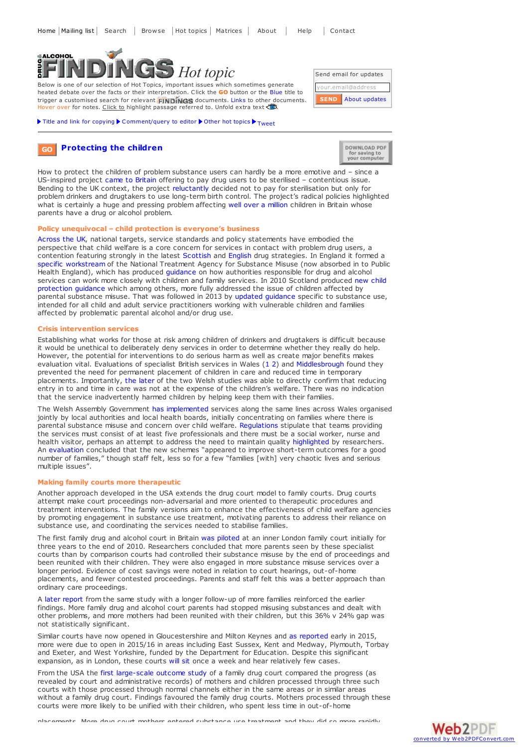

Below is one of our selection of Hot Topics, important issues which sometimes generate heated debate over the facts or their interpretation. Click the **GO** button or the Blue title to trigger a customised search for relevant FINDINGS documents. Links to other documents. Hover over for notes. Click to highlight passage referred to. Unfold extra text

Title and link for [copying](javascript:;)  $\blacktriangleright$  [Comment/query](mailto:editor@findings.org.uk?Subject=Findings entry: Protecting the children&body=Dear Editor%0A%0ARegarding the Findings document:%0AProtecting the children%0Aat:%0Ahttps://findings.org.uk/PHP/dl.php?file=child_protect.hot%0A%0AI would appreciate your response to this comment/query:%0A[Enter your comment/query here]) to editor  $\blacktriangleright$  [Other](../../hot_topics_archive.php) hot topics  $\blacktriangleright$  [Tweet](https://twitter.com/share)



**[Protecting](https://findings.org.uk/topic_results.php?allCodes%5B%5D=.&othfeat%5B%5D=protection&source=hot&sortBy=DateAdded&s=eb) the children GO**



How to protect the children of problem substance users can hardly be a more emotive and – since a US-inspired project came to [Britain](http://www.guardian.co.uk/society/2010/jun/12/barbara-harris-sterilise-drug-addicts-alcoholics) offering to pay drug users to be sterilised – contentious issue. Bending to the UK context, the project [reluctantly](http://www.projectprevention.org/united-kingdom/) decided not to pay for sterilisation but only for problem drinkers and drugtakers to use long-term birth control. The project's radical policies highlighted what is certainly a huge and pressing problem affecting well over a [million](http://dx.doi.org/10.1093/bjsw/bcm051) children in Britain whose parents have a drug or alcohol problem.

# **Policy unequivocal – child protection is everyone's business**

[Across](https://www.gov.uk/government/publications/hidden-harm-report-three-years-on-realities-challenges-and-opportunities) the UK, national targets, service standards and policy statements have embodied the perspective that child welfare is a core concern for services in contact with problem drug users, a contention featuring strongly in the latest [Scottish](http://www.scotland.gov.uk/Publications/2008/05/22161610/0) and [English](https://findings.org.uk/PHP/dl.php?file=HM_Government_3.cab&s=eb) drug strategies. In England it formed a specific [workstream](http://www.nta.nhs.uk/families.aspx) of the National Treatment Agency for Substance Misuse (now absorbed in to Public Health England), which has produced [guidance](http://www.nta.nhs.uk/families-supporting-information-June-2011.aspx) on how authorities responsible for drug and alcohol services can work more closely with children and family services. In 2010 Scotland [produced](http://www.scotland.gov.uk/Publications/2010/12/09134441/0) new child protection guidance which among others, more fully addressed the issue of children affected by parental substance misuse. That was followed in 2013 by updated [guidance](http://www.scotland.gov.uk/Publications/2013/04/2305/0) specific to substance use, intended for all child and adult service practitioners working with vulnerable children and families affected by problematic parental alcohol and/or drug use.

#### **Crisis intervention services**

Establishing what works for those at risk among children of drinkers and drugtakers is difficult because it would be unethical to deliberately deny services in order to determine whether they really do help. However, the potential for interventions to do serious harm as well as create major benefits makes evaluation vital. Evaluations of specialist British services in Wales ([1](https://findings.org.uk/PHP/dl.php?file=Forrester_D_3.txt&s=eb) [2](https://findings.org.uk/PHP/dl.php?file=Forrester_D_5.txt&s=eb)) and [Middlesbrough](https://findings.org.uk/PHP/dl.php?file=Woolfall_K_1.txt&s=eb) found they prevented the need for permanent placement of children in care and reduced time in temporary placements. Importantly, the [later](https://findings.org.uk/PHP/dl.php?file=Forrester_D_5.txt&s=eb) of the two Welsh studies was able to directly confirm that reducing entry in to and time in care was not at the expense of the children's welfare. There was no indication that the service inadvertently harmed children by helping keep them with their families.

The Welsh Assembly Government has [implemented](http://wales.gov.uk/topics/health/socialcare/working/ifst/?lang=en) services along the same lines across Wales organised jointly by local authorities and local health boards, initially concentrating on families where there is parental substance misuse and concern over child welfare. [Regulations](http://www.legislation.gov.uk/wsi/2012/202/note/made) stipulate that teams providing the services must consist of at least five professionals and there must be a social worker, nurse and health visitor, perhaps an attempt to address the need to maintain quality [highlighted](https://findings.org.uk/PHP/dl.php?file=Forrester_D_5.txt&s=eb) by researchers. An [evaluation](http://www.sqw.co.uk/files/1913/9766/2379/IFSS_Year_3_Final_Report.pdf) concluded that the new schemes "appeared to improve short-term outcomes for a good number of families," though staff felt, less so for <sup>a</sup> few "families [with] very chaotic lives and serious multiple issues".

## **Making family courts more therapeutic**

Another approach developed in the USA extends the drug court model to family courts. Drug courts attempt make court proceedings non-adversarial and more oriented to therapeutic procedures and treatment interventions. The family versions aim to enhance the effectiveness of child welfare agencies by promoting engagement in substance use treatment, motivating parents to address their reliance on substance use, and coordinating the services needed to stabilise families.

The first family drug and alcohol court in Britain was [piloted](https://findings.org.uk/PHP/dl.php?file=Harwin_J_1.txt&s=eb) at an inner London family court initially for three years to the end of 2010. Researchers concluded that more parents seen by these specialist courts than by comparison courts had controlled their substance misuse by the end of proceedings and been reunited with their children. They were also engaged in more substance misuse services over a longer period. Evidence of cost savings were noted in relation to court hearings, out-of-home placements, and fewer contested proceedings. Parents and staff felt this was a better approach than ordinary care proceedings.

A later [report](http://www.brunel.ac.uk/__data/assets/pdf_file/0007/366370/FDAC_May2014_FinalReport_V2.pdf) from the same study with a longer follow-up of more families reinforced the earlier findings. More family drug and alcohol court parents had stopped misusing substances and dealt with other problems, and more mothers had been reunited with their children, but this 36% v 24% gap was not statistically significant.

Similar courts have now opened in Gloucestershire and Milton Keynes and as [reported](http://www.brunel.ac.uk/news-and-events/news/news-items/ne_409769) early in 2015, more were due to open in 2015/16 in areas including East Sussex, Kent and Medway, Plymouth, Torbay and Exeter, and West Yorkshire, funded by the Department for Education. Despite this significant expansion, as in London, these courts [will](http://www.bbc.co.uk/news/uk-31512532?) sit once a week and hear relatively few cases.

From the USA the first [large-scale](http://jpo.wrlc.org/bitstream/handle/11204/2458/2947.pdf?sequence=1) outcome study of a family drug court compared the progress (as revealed by court and administrative records) of mothers and children processed through three such courts with those processed through normal channels either in the same areas or in similar areas without a family drug court. Findings favoured the family drug courts. Mothers processed through these courts were more likely to be unified with their children, who spent less time in out-of-home

placements. More drug court mothers entered substance use treatment and they did so more rapidly,

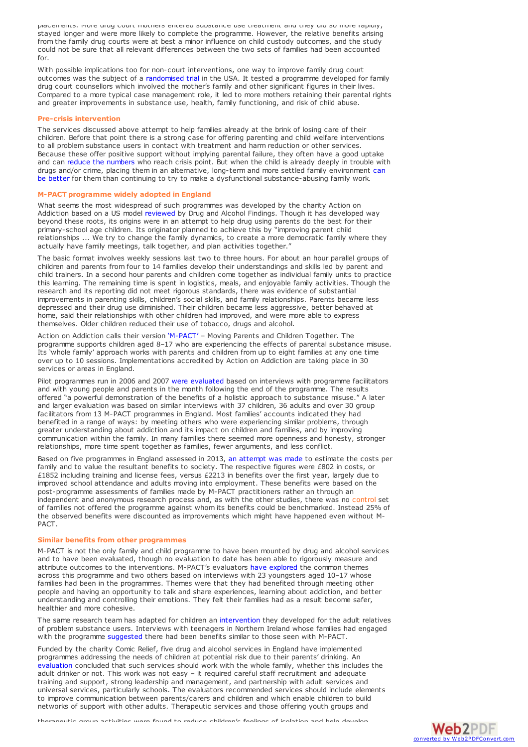placements. More drug court mothers entered substance use treatment and they did so more rapidly, stayed longer and were more likely to complete the programme. However, the relative benefits arising from the family drug courts were at best a minor influence on child custody outcomes, and the study could not be sure that all relevant differences between the two sets of families had been accounted for.

With possible implications too for non-court interventions, one way to improve family drug court outcomes was the subject of a [randomised](https://findings.org.uk/PHP/dl.php?file=Dakof_GA_2.txt&s=eb) trial in the USA. It tested a programme developed for family drug court counsellors which involved the mother's family and other significant figures in their lives. Compared to a more typical case management role, it led to more mothers retaining their parental rights and greater improvements in substance use, health, family functioning, and risk of child abuse.

## **Pre-crisis intervention**

The services discussed above attempt to help families already at the brink of losing care of their children. Before that point there is a strong case for offering parenting and child welfare interventions to all problem substance users in contact with treatment and harm reduction or other services. Because these offer positive support without implying parental failure, they often have a good uptake and can reduce the [numbers](https://findings.org.uk/PHP/dl.php?file=PUP.nug&s=eb) who reach crisis point. But when the child is already deeply in trouble with drugs and/or crime, placing them in an alternative, long-term and more settled family environment can be better for them than continuing to try to make a dysfunctional [substance-abusing](https://findings.org.uk/PHP/dl.php?file=Helgeland_IM_1.cab&s=eb) family work.

## **M-PACT programme widely adopted in England**

What seems the most widespread of such programmes was developed by the charity Action on Addiction based on a US model [reviewed](https://findings.org.uk/PHP/dl.php?file=Ashton_M_24.pdf&s=eb) by Drug and Alcohol Findings. Though it has developed way beyond these roots, its origins were in an attempt to help drug using parents do the best for their primary-school age children. Its originator planned to achieve this by "improving parent child relationships ... We try to change the family dynamics, to create a more democratic family where they actually have family meetings, talk together, and plan activities together."

The basic format involves weekly sessions last two to three hours. For about an hour parallel groups of children and parents from four to 14 families develop their understandings and skills led by parent and child trainers. In a second hour parents and children come together as individual family units to practice this learning. The remaining time is spent in logistics, meals, and enjoyable family activities. Though the research and its reporting did not meet rigorous standards, there was evidence of substantial improvements in parenting skills, children's social skills, and family relationships. Parents became less depressed and their drug use diminished. Their children became less aggressive, better behaved at home, said their relationships with other children had improved, and were more able to express themselves. Older children reduced their use of tobacco, drugs and alcohol.

Action on Addiction calls their version ['M-PACT'](http://www.actiononaddiction.org.uk/For-Families/M-Pact-%28UK%29-Project.aspx) – Moving Parents and Children Together. The programme supports children aged 8–17 who are experiencing the effects of parental substance misuse. Its 'whole family' approach works with parents and children from up to eight families at any one time over up to 10 sessions. Implementations accredited by Action on Addiction are taking place in 30 services or areas in England.

Pilot programmes run in 2006 and 2007 were [evaluated](http://www.actiononaddiction.org.uk/Family-Support/M-Pact-(UK)-Project/m-pact_research_briefing_08c_final.aspx) based on interviews with programme facilitators and with young people and parents in the month following the end of the programme. The results offered "a powerful demonstration of the benefits of a holistic approach to substance misuse." A later and larger evaluation was based on similar interviews with 37 children, 36 adults and over 30 group facilitators from 13 M-PACT programmes in England. Most families' accounts indicated they had benefited in a range of ways: by meeting others who were experiencing similar problems, through greater understanding about addiction and its impact on children and families, and by improving communication within the family. In many families there seemed more openness and honesty, stronger relationships, more time spent together as families, fewer arguments, and less conflict.

Based on five programmes in England assessed in 2013, an [attempt](http://www.actiononaddiction.org.uk/Documents/AOA-SROI-M-PACT-2014.aspx) was made to estimate the costs per family and to value the resultant benefits to society. The respective figures were £802 in costs, or £1852 including training and license fees, versus £2213 in benefits over the first year, largely due to improved school attendance and adults moving into employment. These benefits were based on the post-programme assessments of families made by M-PACT practitioners rather an through an independent and anonymous research process and, as with the other studies, there was no control set of families not offered the programme against whom its benefits could be benchmarked. Instead 25% of the observed benefits were discounted as improvements which might have happened even without M-PACT.

### **Similar benefits from other programmes**

M-PACT is not the only family and child programme to have been mounted by drug and alcohol services and to have been evaluated, though no evaluation to date has been able to rigorously measure and attribute outcomes to the interventions. M-PACT's evaluators have [explored](http://dx.doi.org/10.3109/09687637.2010.489081) the common themes across this programme and two others based on interviews with 23 youngsters aged 10–17 whose families had been in the programmes. Themes were that they had benefited through meeting other people and having an opportunity to talk and share experiences, learning about addiction, and better understanding and controlling their emotions. They felt their families had as a result become safer, healthier and more cohesive.

The same research team has adapted for children an [intervention](http://www.findings.org.uk/PHP/dl.php?file=nug_5_4.pdf&s=eb) they developed for the adult relatives of problem substance users. Interviews with teenagers in Northern Ireland whose families had engaged with the programme [suggested](http://alcoholresearchuk.org/alcohol-insights/steps-to-cope-a-brief-intervention-for-children-and-young-people-cyp-living-with-parental-substance-misuse-andor-parental-mental-health-problems/) there had been benefits similar to those seen with M-PACT.

Funded by the charity Comic Relief, five drug and alcohol services in England have implemented programmes addressing the needs of children at potential risk due to their parents' drinking. An [evaluation](http://www.alcoholhiddenharmtoolkit.org.uk/key-learning) concluded that such services should work with the whole family, whether this includes the adult drinker or not. This work was not easy – it required careful staff recruitment and adequate training and support, strong leadership and management, and partnership with adult services and universal services, particularly schools. The evaluators recommended services should include elements to improve communication between parents/carers and children and which enable children to build networks of support with other adults. Therapeutic services and those offering youth groups and

therapeutic group activities were found to reduce children's feelings of isolation and help develop